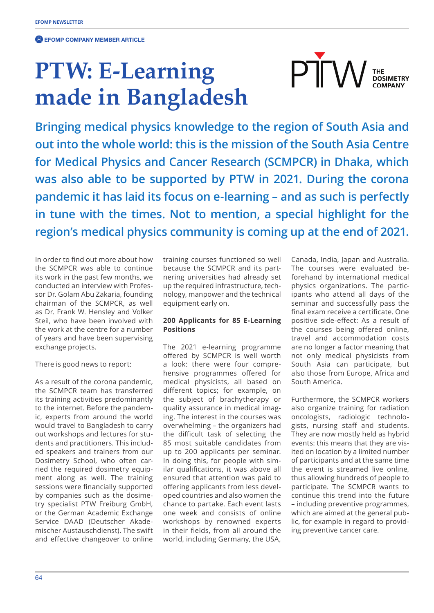**EFOMP COMPANY MEMBER ARTICLE** 

## **PTW: E-Learning made in Bangladesh**

**Bringing medical physics knowledge to the region of South Asia and out into the whole world: this is the mission of the South Asia Centre for Medical Physics and Cancer Research (SCMPCR) in Dhaka, which was also able to be supported by PTW in 2021. During the corona pandemic it has laid its focus on e-learning – and as such is perfectly in tune with the times. Not to mention, a special highlight for the region's medical physics community is coming up at the end of 2021.**

In order to find out more about how the SCMPCR was able to continue its work in the past few months, we conducted an interview with Professor Dr. Golam Abu Zakaria, founding chairman of the SCMPCR, as well as Dr. Frank W. Hensley and Volker Steil, who have been involved with the work at the centre for a number of years and have been supervising exchange projects.

There is good news to report:

As a result of the corona pandemic, the SCMPCR team has transferred its training activities predominantly to the internet. Before the pandemic, experts from around the world would travel to Bangladesh to carry out workshops and lectures for students and practitioners. This included speakers and trainers from our Dosimetry School, who often carried the required dosimetry equipment along as well. The training sessions were financially supported by companies such as the dosimetry specialist PTW Freiburg GmbH, or the German Academic Exchange Service DAAD (Deutscher Akademischer Austauschdienst). The swift and effective changeover to online

training courses functioned so well because the SCMPCR and its partnering universities had already set up the required infrastructure, technology, manpower and the technical equipment early on.

## **200 Applicants for 85 E-Learning Positions**

The 2021 e-learning programme offered by SCMPCR is well worth a look: there were four comprehensive programmes offered for medical physicists, all based on different topics; for example, on the subject of brachytherapy or quality assurance in medical imaging. The interest in the courses was overwhelming – the organizers had the difficult task of selecting the 85 most suitable candidates from up to 200 applicants per seminar. In doing this, for people with similar qualifications, it was above all ensured that attention was paid to offering applicants from less developed countries and also women the chance to partake. Each event lasts one week and consists of online workshops by renowned experts in their fields, from all around the world, including Germany, the USA,

Canada, India, Japan and Australia. The courses were evaluated beforehand by international medical physics organizations. The participants who attend all days of the seminar and successfully pass the final exam receive a certificate. One positive side-effect: As a result of the courses being offered online, travel and accommodation costs are no longer a factor meaning that not only medical physicists from South Asia can participate, but also those from Europe, Africa and South America.

**PTN** 

**THE<br>DOSIMETRY** 

Furthermore, the SCMPCR workers also organize training for radiation oncologists, radiologic technologists, nursing staff and students. They are now mostly held as hybrid events: this means that they are visited on location by a limited number of participants and at the same time the event is streamed live online, thus allowing hundreds of people to participate. The SCMPCR wants to continue this trend into the future – including preventive programmes, which are aimed at the general public, for example in regard to providing preventive cancer care.